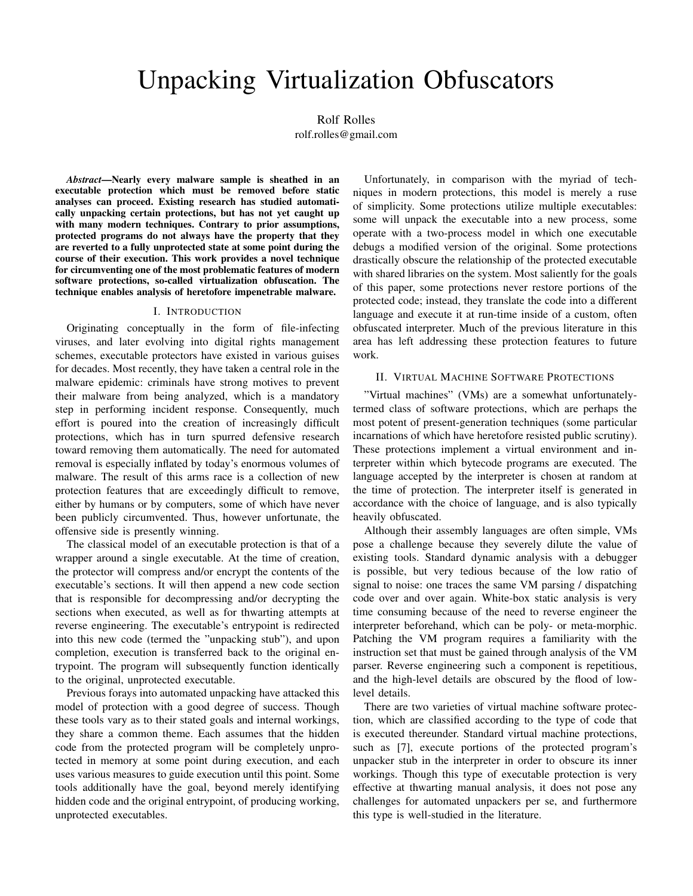# Unpacking Virtualization Obfuscators

Rolf Rolles

rolf.rolles@gmail.com

*Abstract*—Nearly every malware sample is sheathed in an executable protection which must be removed before static analyses can proceed. Existing research has studied automatically unpacking certain protections, but has not yet caught up with many modern techniques. Contrary to prior assumptions, protected programs do not always have the property that they are reverted to a fully unprotected state at some point during the course of their execution. This work provides a novel technique for circumventing one of the most problematic features of modern software protections, so-called virtualization obfuscation. The technique enables analysis of heretofore impenetrable malware.

#### I. INTRODUCTION

Originating conceptually in the form of file-infecting viruses, and later evolving into digital rights management schemes, executable protectors have existed in various guises for decades. Most recently, they have taken a central role in the malware epidemic: criminals have strong motives to prevent their malware from being analyzed, which is a mandatory step in performing incident response. Consequently, much effort is poured into the creation of increasingly difficult protections, which has in turn spurred defensive research toward removing them automatically. The need for automated removal is especially inflated by today's enormous volumes of malware. The result of this arms race is a collection of new protection features that are exceedingly difficult to remove, either by humans or by computers, some of which have never been publicly circumvented. Thus, however unfortunate, the offensive side is presently winning.

The classical model of an executable protection is that of a wrapper around a single executable. At the time of creation, the protector will compress and/or encrypt the contents of the executable's sections. It will then append a new code section that is responsible for decompressing and/or decrypting the sections when executed, as well as for thwarting attempts at reverse engineering. The executable's entrypoint is redirected into this new code (termed the "unpacking stub"), and upon completion, execution is transferred back to the original entrypoint. The program will subsequently function identically to the original, unprotected executable.

Previous forays into automated unpacking have attacked this model of protection with a good degree of success. Though these tools vary as to their stated goals and internal workings, they share a common theme. Each assumes that the hidden code from the protected program will be completely unprotected in memory at some point during execution, and each uses various measures to guide execution until this point. Some tools additionally have the goal, beyond merely identifying hidden code and the original entrypoint, of producing working, unprotected executables.

Unfortunately, in comparison with the myriad of techniques in modern protections, this model is merely a ruse of simplicity. Some protections utilize multiple executables: some will unpack the executable into a new process, some operate with a two-process model in which one executable debugs a modified version of the original. Some protections drastically obscure the relationship of the protected executable with shared libraries on the system. Most saliently for the goals of this paper, some protections never restore portions of the protected code; instead, they translate the code into a different language and execute it at run-time inside of a custom, often obfuscated interpreter. Much of the previous literature in this area has left addressing these protection features to future work.

## II. VIRTUAL MACHINE SOFTWARE PROTECTIONS

"Virtual machines" (VMs) are a somewhat unfortunatelytermed class of software protections, which are perhaps the most potent of present-generation techniques (some particular incarnations of which have heretofore resisted public scrutiny). These protections implement a virtual environment and interpreter within which bytecode programs are executed. The language accepted by the interpreter is chosen at random at the time of protection. The interpreter itself is generated in accordance with the choice of language, and is also typically heavily obfuscated.

Although their assembly languages are often simple, VMs pose a challenge because they severely dilute the value of existing tools. Standard dynamic analysis with a debugger is possible, but very tedious because of the low ratio of signal to noise: one traces the same VM parsing / dispatching code over and over again. White-box static analysis is very time consuming because of the need to reverse engineer the interpreter beforehand, which can be poly- or meta-morphic. Patching the VM program requires a familiarity with the instruction set that must be gained through analysis of the VM parser. Reverse engineering such a component is repetitious, and the high-level details are obscured by the flood of lowlevel details.

There are two varieties of virtual machine software protection, which are classified according to the type of code that is executed thereunder. Standard virtual machine protections, such as [7], execute portions of the protected program's unpacker stub in the interpreter in order to obscure its inner workings. Though this type of executable protection is very effective at thwarting manual analysis, it does not pose any challenges for automated unpackers per se, and furthermore this type is well-studied in the literature.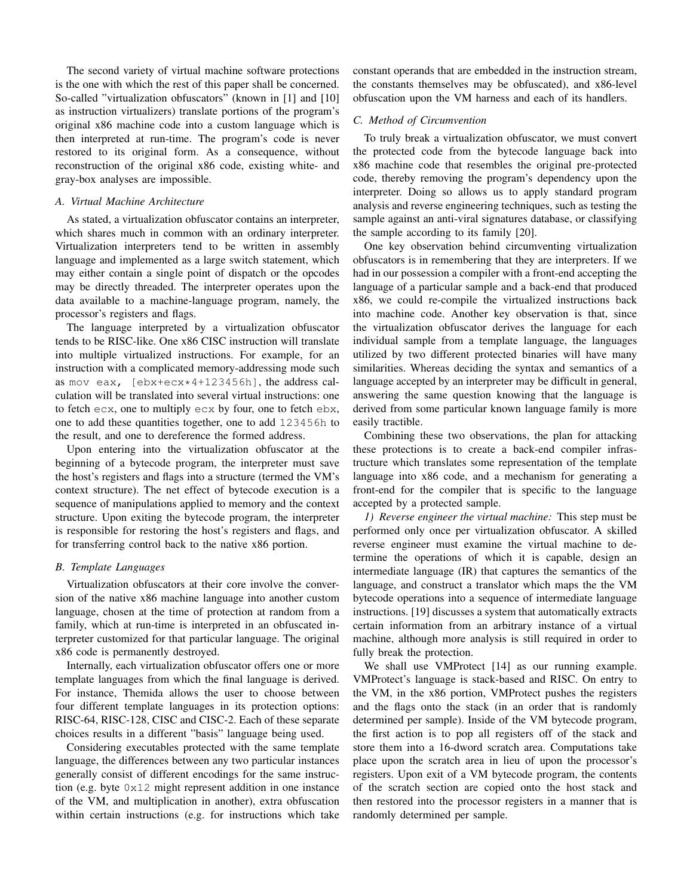The second variety of virtual machine software protections is the one with which the rest of this paper shall be concerned. So-called "virtualization obfuscators" (known in [1] and [10] as instruction virtualizers) translate portions of the program's original x86 machine code into a custom language which is then interpreted at run-time. The program's code is never restored to its original form. As a consequence, without reconstruction of the original x86 code, existing white- and gray-box analyses are impossible.

### *A. Virtual Machine Architecture*

As stated, a virtualization obfuscator contains an interpreter, which shares much in common with an ordinary interpreter. Virtualization interpreters tend to be written in assembly language and implemented as a large switch statement, which may either contain a single point of dispatch or the opcodes may be directly threaded. The interpreter operates upon the data available to a machine-language program, namely, the processor's registers and flags.

The language interpreted by a virtualization obfuscator tends to be RISC-like. One x86 CISC instruction will translate into multiple virtualized instructions. For example, for an instruction with a complicated memory-addressing mode such as mov eax, [ebx+ecx\*4+123456h], the address calculation will be translated into several virtual instructions: one to fetch ecx, one to multiply ecx by four, one to fetch ebx, one to add these quantities together, one to add 123456h to the result, and one to dereference the formed address.

Upon entering into the virtualization obfuscator at the beginning of a bytecode program, the interpreter must save the host's registers and flags into a structure (termed the VM's context structure). The net effect of bytecode execution is a sequence of manipulations applied to memory and the context structure. Upon exiting the bytecode program, the interpreter is responsible for restoring the host's registers and flags, and for transferring control back to the native x86 portion.

#### *B. Template Languages*

Virtualization obfuscators at their core involve the conversion of the native x86 machine language into another custom language, chosen at the time of protection at random from a family, which at run-time is interpreted in an obfuscated interpreter customized for that particular language. The original x86 code is permanently destroyed.

Internally, each virtualization obfuscator offers one or more template languages from which the final language is derived. For instance, Themida allows the user to choose between four different template languages in its protection options: RISC-64, RISC-128, CISC and CISC-2. Each of these separate choices results in a different "basis" language being used.

Considering executables protected with the same template language, the differences between any two particular instances generally consist of different encodings for the same instruction (e.g. byte 0x12 might represent addition in one instance of the VM, and multiplication in another), extra obfuscation within certain instructions (e.g. for instructions which take constant operands that are embedded in the instruction stream, the constants themselves may be obfuscated), and x86-level obfuscation upon the VM harness and each of its handlers.

## *C. Method of Circumvention*

To truly break a virtualization obfuscator, we must convert the protected code from the bytecode language back into x86 machine code that resembles the original pre-protected code, thereby removing the program's dependency upon the interpreter. Doing so allows us to apply standard program analysis and reverse engineering techniques, such as testing the sample against an anti-viral signatures database, or classifying the sample according to its family [20].

One key observation behind circumventing virtualization obfuscators is in remembering that they are interpreters. If we had in our possession a compiler with a front-end accepting the language of a particular sample and a back-end that produced x86, we could re-compile the virtualized instructions back into machine code. Another key observation is that, since the virtualization obfuscator derives the language for each individual sample from a template language, the languages utilized by two different protected binaries will have many similarities. Whereas deciding the syntax and semantics of a language accepted by an interpreter may be difficult in general, answering the same question knowing that the language is derived from some particular known language family is more easily tractible.

Combining these two observations, the plan for attacking these protections is to create a back-end compiler infrastructure which translates some representation of the template language into x86 code, and a mechanism for generating a front-end for the compiler that is specific to the language accepted by a protected sample.

*1) Reverse engineer the virtual machine:* This step must be performed only once per virtualization obfuscator. A skilled reverse engineer must examine the virtual machine to determine the operations of which it is capable, design an intermediate language (IR) that captures the semantics of the language, and construct a translator which maps the the VM bytecode operations into a sequence of intermediate language instructions. [19] discusses a system that automatically extracts certain information from an arbitrary instance of a virtual machine, although more analysis is still required in order to fully break the protection.

We shall use VMProtect [14] as our running example. VMProtect's language is stack-based and RISC. On entry to the VM, in the x86 portion, VMProtect pushes the registers and the flags onto the stack (in an order that is randomly determined per sample). Inside of the VM bytecode program, the first action is to pop all registers off of the stack and store them into a 16-dword scratch area. Computations take place upon the scratch area in lieu of upon the processor's registers. Upon exit of a VM bytecode program, the contents of the scratch section are copied onto the host stack and then restored into the processor registers in a manner that is randomly determined per sample.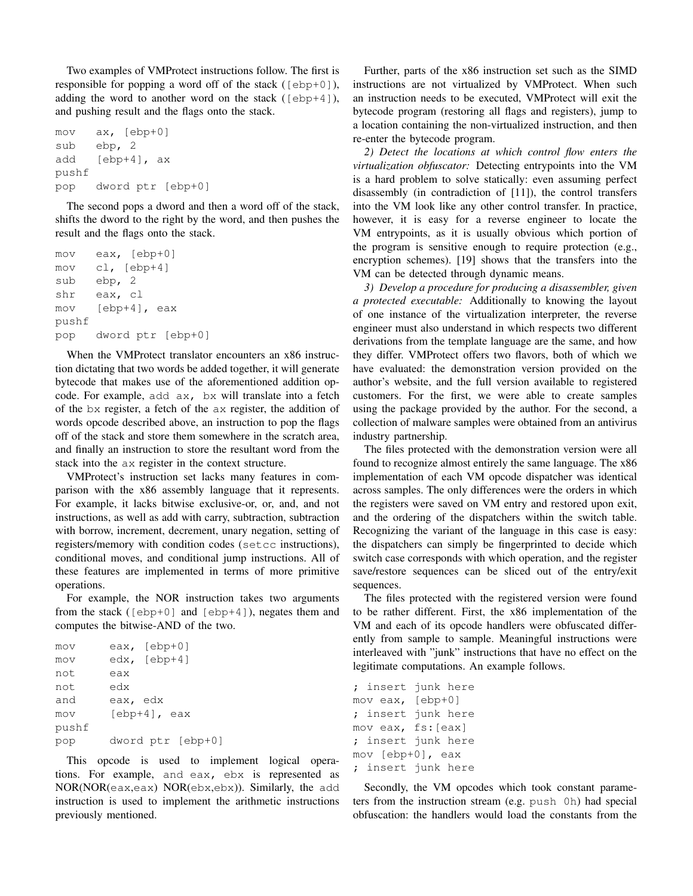Two examples of VMProtect instructions follow. The first is responsible for popping a word off of the stack  $( [ebp+0] )$ , adding the word to another word on the stack ( $[ebp+4]$ ), and pushing result and the flags onto the stack.

```
mov ax, [ebp+0]
sub ebp, 2
add [ebp+4], ax
pushf
pop dword ptr [ebp+0]
```
The second pops a dword and then a word off of the stack, shifts the dword to the right by the word, and then pushes the result and the flags onto the stack.

```
mov eax, [ebp+0]
mov cl, [ebp+4]
sub ebp, 2
shr eax, cl
mov [ebp+4], eax
pushf
pop dword ptr [ebp+0]
```
When the VMProtect translator encounters an x86 instruction dictating that two words be added together, it will generate bytecode that makes use of the aforementioned addition opcode. For example, add ax, bx will translate into a fetch of the bx register, a fetch of the ax register, the addition of words opcode described above, an instruction to pop the flags off of the stack and store them somewhere in the scratch area, and finally an instruction to store the resultant word from the stack into the ax register in the context structure.

VMProtect's instruction set lacks many features in comparison with the x86 assembly language that it represents. For example, it lacks bitwise exclusive-or, or, and, and not instructions, as well as add with carry, subtraction, subtraction with borrow, increment, decrement, unary negation, setting of registers/memory with condition codes (setcc instructions), conditional moves, and conditional jump instructions. All of these features are implemented in terms of more primitive operations.

For example, the NOR instruction takes two arguments from the stack ( $[ebp+0]$  and  $[ebp+4]$ ), negates them and computes the bitwise-AND of the two.

| mov   | eax, $[ebp+0]$    |
|-------|-------------------|
| mov   | $edx, [ebp+4]$    |
| not   | eax               |
| not   | edx               |
| and   | eax, edx          |
| mov   | $[ebp+4]$ , eax   |
| pushf |                   |
| pop   | dword ptr [ebp+0] |

This opcode is used to implement logical operations. For example, and eax, ebx is represented as NOR(NOR(eax,eax) NOR(ebx,ebx)). Similarly, the add instruction is used to implement the arithmetic instructions previously mentioned.

Further, parts of the x86 instruction set such as the SIMD instructions are not virtualized by VMProtect. When such an instruction needs to be executed, VMProtect will exit the bytecode program (restoring all flags and registers), jump to a location containing the non-virtualized instruction, and then re-enter the bytecode program.

*2) Detect the locations at which control flow enters the virtualization obfuscator:* Detecting entrypoints into the VM is a hard problem to solve statically: even assuming perfect disassembly (in contradiction of [11]), the control transfers into the VM look like any other control transfer. In practice, however, it is easy for a reverse engineer to locate the VM entrypoints, as it is usually obvious which portion of the program is sensitive enough to require protection (e.g., encryption schemes). [19] shows that the transfers into the VM can be detected through dynamic means.

*3) Develop a procedure for producing a disassembler, given a protected executable:* Additionally to knowing the layout of one instance of the virtualization interpreter, the reverse engineer must also understand in which respects two different derivations from the template language are the same, and how they differ. VMProtect offers two flavors, both of which we have evaluated: the demonstration version provided on the author's website, and the full version available to registered customers. For the first, we were able to create samples using the package provided by the author. For the second, a collection of malware samples were obtained from an antivirus industry partnership.

The files protected with the demonstration version were all found to recognize almost entirely the same language. The x86 implementation of each VM opcode dispatcher was identical across samples. The only differences were the orders in which the registers were saved on VM entry and restored upon exit, and the ordering of the dispatchers within the switch table. Recognizing the variant of the language in this case is easy: the dispatchers can simply be fingerprinted to decide which switch case corresponds with which operation, and the register save/restore sequences can be sliced out of the entry/exit sequences.

The files protected with the registered version were found to be rather different. First, the x86 implementation of the VM and each of its opcode handlers were obfuscated differently from sample to sample. Meaningful instructions were interleaved with "junk" instructions that have no effect on the legitimate computations. An example follows.

```
; insert junk here
mov eax, [ebp+0]
; insert junk here
mov eax, fs:[eax]
; insert junk here
mov [ebp+0], eax
; insert junk here
```
Secondly, the VM opcodes which took constant parameters from the instruction stream (e.g. push 0h) had special obfuscation: the handlers would load the constants from the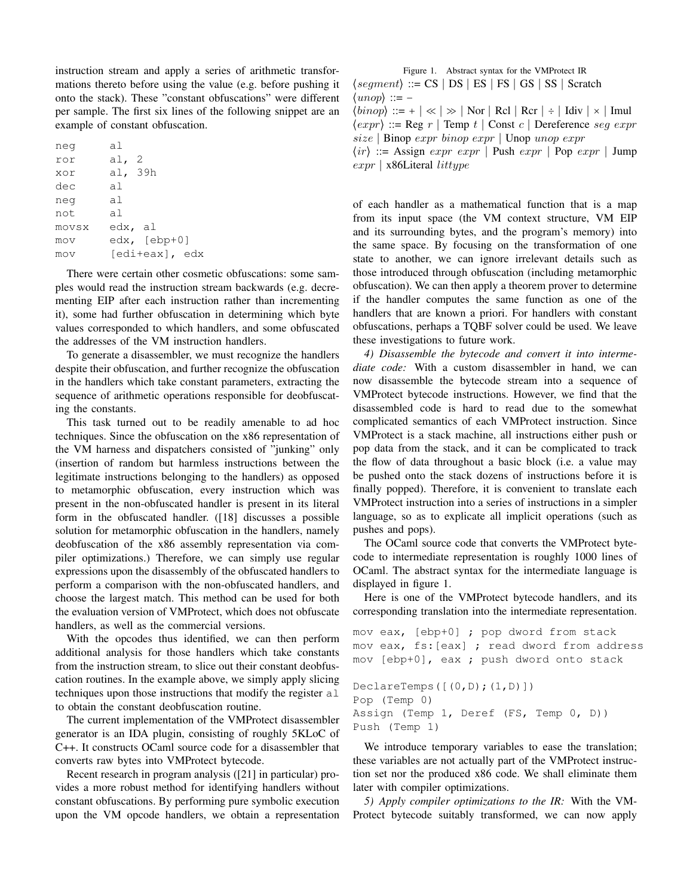instruction stream and apply a series of arithmetic transformations thereto before using the value (e.g. before pushing it onto the stack). These "constant obfuscations" were different per sample. The first six lines of the following snippet are an example of constant obfuscation.

| neg   | al      |                |
|-------|---------|----------------|
| ror   | al, $2$ |                |
| xor   | al, 39h |                |
| dec   | al      |                |
| neg   | al      |                |
| not   | al      |                |
| movsx | edx, al |                |
| mov   |         | $edx, [ebp+0]$ |
| mov   |         | [edi+eax], edx |

There were certain other cosmetic obfuscations: some samples would read the instruction stream backwards (e.g. decrementing EIP after each instruction rather than incrementing it), some had further obfuscation in determining which byte values corresponded to which handlers, and some obfuscated the addresses of the VM instruction handlers.

To generate a disassembler, we must recognize the handlers despite their obfuscation, and further recognize the obfuscation in the handlers which take constant parameters, extracting the sequence of arithmetic operations responsible for deobfuscating the constants.

This task turned out to be readily amenable to ad hoc techniques. Since the obfuscation on the x86 representation of the VM harness and dispatchers consisted of "junking" only (insertion of random but harmless instructions between the legitimate instructions belonging to the handlers) as opposed to metamorphic obfuscation, every instruction which was present in the non-obfuscated handler is present in its literal form in the obfuscated handler. ([18] discusses a possible solution for metamorphic obfuscation in the handlers, namely deobfuscation of the x86 assembly representation via compiler optimizations.) Therefore, we can simply use regular expressions upon the disassembly of the obfuscated handlers to perform a comparison with the non-obfuscated handlers, and choose the largest match. This method can be used for both the evaluation version of VMProtect, which does not obfuscate handlers, as well as the commercial versions.

With the opcodes thus identified, we can then perform additional analysis for those handlers which take constants from the instruction stream, to slice out their constant deobfuscation routines. In the example above, we simply apply slicing techniques upon those instructions that modify the register al to obtain the constant deobfuscation routine.

The current implementation of the VMProtect disassembler generator is an IDA plugin, consisting of roughly 5KLoC of C++. It constructs OCaml source code for a disassembler that converts raw bytes into VMProtect bytecode.

Recent research in program analysis ([21] in particular) provides a more robust method for identifying handlers without constant obfuscations. By performing pure symbolic execution upon the VM opcode handlers, we obtain a representation

Figure 1. Abstract syntax for the VMProtect IR  $\langle segment \rangle ::= CS | DS | ES | FS | GS | SS | S$  $\langle \textit{unop} \rangle ::= -$ 

 $\langle binop \rangle ::= + \vert \ll \vert \gg \vert$  Nor  $\vert$  Rcl  $\vert$  Rcr  $\vert \div \vert$  Idiv  $\vert \times \vert$  Imul  $\langle expr \rangle ::= \text{Reg } r \mid \text{Temp } t \mid \text{Const } c \mid \text{Dereference } seg \text{ expr}$ size ∣ Binop expr binop expr ∣ Unop unop expr

 $\langle ir \rangle ::=$  Assign  $expr \; expr \; |$  Push  $expr \; |$  Pop  $expr \; |$  Jump expr ∣ x86Literal littype

of each handler as a mathematical function that is a map from its input space (the VM context structure, VM EIP and its surrounding bytes, and the program's memory) into the same space. By focusing on the transformation of one state to another, we can ignore irrelevant details such as those introduced through obfuscation (including metamorphic obfuscation). We can then apply a theorem prover to determine if the handler computes the same function as one of the handlers that are known a priori. For handlers with constant obfuscations, perhaps a TQBF solver could be used. We leave these investigations to future work.

*4) Disassemble the bytecode and convert it into intermediate code:* With a custom disassembler in hand, we can now disassemble the bytecode stream into a sequence of VMProtect bytecode instructions. However, we find that the disassembled code is hard to read due to the somewhat complicated semantics of each VMProtect instruction. Since VMProtect is a stack machine, all instructions either push or pop data from the stack, and it can be complicated to track the flow of data throughout a basic block (i.e. a value may be pushed onto the stack dozens of instructions before it is finally popped). Therefore, it is convenient to translate each VMProtect instruction into a series of instructions in a simpler language, so as to explicate all implicit operations (such as pushes and pops).

The OCaml source code that converts the VMProtect bytecode to intermediate representation is roughly 1000 lines of OCaml. The abstract syntax for the intermediate language is displayed in figure 1.

Here is one of the VMProtect bytecode handlers, and its corresponding translation into the intermediate representation.

```
mov eax, [ebp+0] ; pop dword from stack
mov eax, fs:[eax] ; read dword from address
mov [ebp+0], eax ; push dword onto stack
DeclareTemps([(0,D);(1,D)])
Pop (Temp 0)
Assign (Temp 1, Deref (FS, Temp 0, D))
Push (Temp 1)
```
We introduce temporary variables to ease the translation; these variables are not actually part of the VMProtect instruction set nor the produced x86 code. We shall eliminate them later with compiler optimizations.

*5) Apply compiler optimizations to the IR:* With the VM-Protect bytecode suitably transformed, we can now apply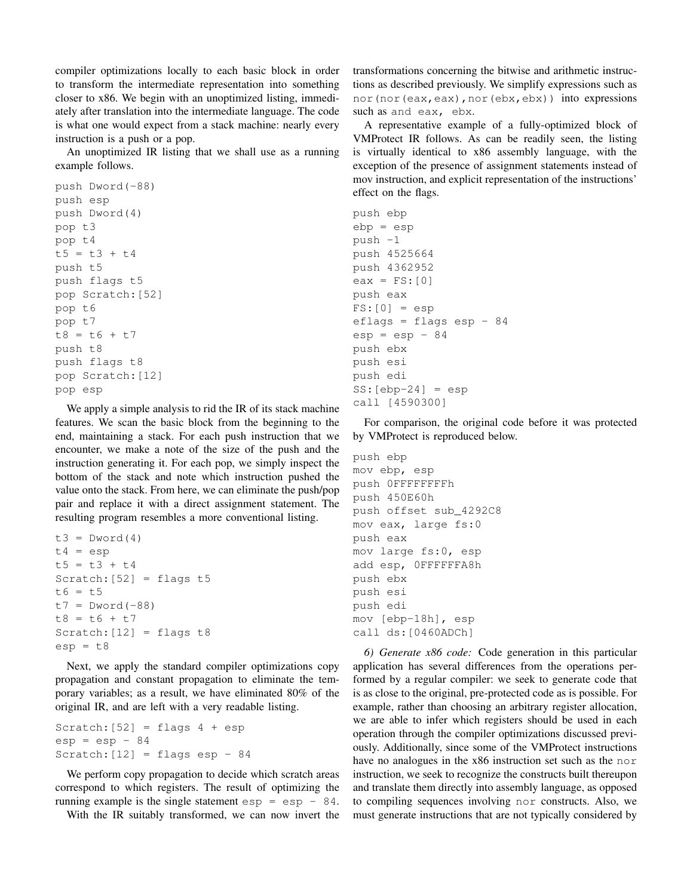compiler optimizations locally to each basic block in order to transform the intermediate representation into something closer to x86. We begin with an unoptimized listing, immediately after translation into the intermediate language. The code is what one would expect from a stack machine: nearly every instruction is a push or a pop.

An unoptimized IR listing that we shall use as a running example follows.

```
push Dword(-88)
push esp
push Dword(4)
pop t3
pop t4
t5 = t3 + t4push t5
push flags t5
pop Scratch:[52]
pop t6
pop t7
t8 = t6 + t7push t8
push flags t8
pop Scratch:[12]
pop esp
```
We apply a simple analysis to rid the IR of its stack machine features. We scan the basic block from the beginning to the end, maintaining a stack. For each push instruction that we encounter, we make a note of the size of the push and the instruction generating it. For each pop, we simply inspect the bottom of the stack and note which instruction pushed the value onto the stack. From here, we can eliminate the push/pop pair and replace it with a direct assignment statement. The resulting program resembles a more conventional listing.

```
t3 = Dword(4)t4 = espt5 = t3 + t4Scratch: [52] = \text{flags } t5t6 = t5t7 = Dword(-88)t8 = t6 + t7Scratch: [12] = \text{flags } t8esp = t8
```
Next, we apply the standard compiler optimizations copy propagation and constant propagation to eliminate the temporary variables; as a result, we have eliminated 80% of the original IR, and are left with a very readable listing.

Scratch:  $[52]$  = flags 4 + esp  $esp = esp - 84$ Scratch:  $[12]$  = flags esp - 84

We perform copy propagation to decide which scratch areas correspond to which registers. The result of optimizing the running example is the single statement  $\exp = \exp - 84$ .

With the IR suitably transformed, we can now invert the

transformations concerning the bitwise and arithmetic instructions as described previously. We simplify expressions such as nor(nor(eax,eax), nor(ebx,ebx)) into expressions such as and eax, ebx.

A representative example of a fully-optimized block of VMProtect IR follows. As can be readily seen, the listing is virtually identical to x86 assembly language, with the exception of the presence of assignment statements instead of mov instruction, and explicit representation of the instructions' effect on the flags.

```
push ebp
ebp = esp
push -1
push 4525664
push 4362952
eax = FS: [0]push eax
FS: [0] = espeflags = flags esp - 84
esp = esp - 84push ebx
push esi
push edi
SS:[ebp-24] = espcall [4590300]
```
For comparison, the original code before it was protected by VMProtect is reproduced below.

```
push ebp
mov ebp, esp
push 0FFFFFFFFh
push 450E60h
push offset sub_4292C8
mov eax, large fs:0
push eax
mov large fs:0, esp
add esp, 0FFFFFFA8h
push ebx
push esi
push edi
mov [ebp-18h], esp
call ds:[0460ADCh]
```
*6) Generate x86 code:* Code generation in this particular application has several differences from the operations performed by a regular compiler: we seek to generate code that is as close to the original, pre-protected code as is possible. For example, rather than choosing an arbitrary register allocation, we are able to infer which registers should be used in each operation through the compiler optimizations discussed previously. Additionally, since some of the VMProtect instructions have no analogues in the x86 instruction set such as the norinstruction, we seek to recognize the constructs built thereupon and translate them directly into assembly language, as opposed to compiling sequences involving nor constructs. Also, we must generate instructions that are not typically considered by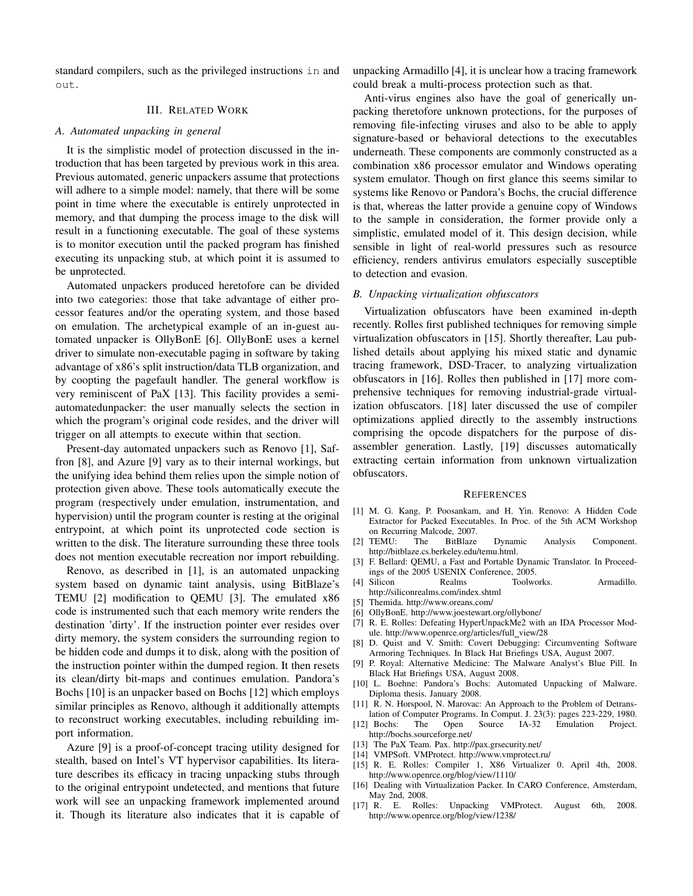standard compilers, such as the privileged instructions in and out.

## III. RELATED WORK

## *A. Automated unpacking in general*

It is the simplistic model of protection discussed in the introduction that has been targeted by previous work in this area. Previous automated, generic unpackers assume that protections will adhere to a simple model: namely, that there will be some point in time where the executable is entirely unprotected in memory, and that dumping the process image to the disk will result in a functioning executable. The goal of these systems is to monitor execution until the packed program has finished executing its unpacking stub, at which point it is assumed to be unprotected.

Automated unpackers produced heretofore can be divided into two categories: those that take advantage of either processor features and/or the operating system, and those based on emulation. The archetypical example of an in-guest automated unpacker is OllyBonE [6]. OllyBonE uses a kernel driver to simulate non-executable paging in software by taking advantage of x86's split instruction/data TLB organization, and by coopting the pagefault handler. The general workflow is very reminiscent of PaX [13]. This facility provides a semiautomatedunpacker: the user manually selects the section in which the program's original code resides, and the driver will trigger on all attempts to execute within that section.

Present-day automated unpackers such as Renovo [1], Saffron [8], and Azure [9] vary as to their internal workings, but the unifying idea behind them relies upon the simple notion of protection given above. These tools automatically execute the program (respectively under emulation, instrumentation, and hypervision) until the program counter is resting at the original entrypoint, at which point its unprotected code section is written to the disk. The literature surrounding these three tools does not mention executable recreation nor import rebuilding.

Renovo, as described in [1], is an automated unpacking system based on dynamic taint analysis, using BitBlaze's TEMU [2] modification to QEMU [3]. The emulated x86 code is instrumented such that each memory write renders the destination 'dirty'. If the instruction pointer ever resides over dirty memory, the system considers the surrounding region to be hidden code and dumps it to disk, along with the position of the instruction pointer within the dumped region. It then resets its clean/dirty bit-maps and continues emulation. Pandora's Bochs [10] is an unpacker based on Bochs [12] which employs similar principles as Renovo, although it additionally attempts to reconstruct working executables, including rebuilding import information.

Azure [9] is a proof-of-concept tracing utility designed for stealth, based on Intel's VT hypervisor capabilities. Its literature describes its efficacy in tracing unpacking stubs through to the original entrypoint undetected, and mentions that future work will see an unpacking framework implemented around it. Though its literature also indicates that it is capable of unpacking Armadillo [4], it is unclear how a tracing framework could break a multi-process protection such as that.

Anti-virus engines also have the goal of generically unpacking theretofore unknown protections, for the purposes of removing file-infecting viruses and also to be able to apply signature-based or behavioral detections to the executables underneath. These components are commonly constructed as a combination x86 processor emulator and Windows operating system emulator. Though on first glance this seems similar to systems like Renovo or Pandora's Bochs, the crucial difference is that, whereas the latter provide a genuine copy of Windows to the sample in consideration, the former provide only a simplistic, emulated model of it. This design decision, while sensible in light of real-world pressures such as resource efficiency, renders antivirus emulators especially susceptible to detection and evasion.

#### *B. Unpacking virtualization obfuscators*

Virtualization obfuscators have been examined in-depth recently. Rolles first published techniques for removing simple virtualization obfuscators in [15]. Shortly thereafter, Lau published details about applying his mixed static and dynamic tracing framework, DSD-Tracer, to analyzing virtualization obfuscators in [16]. Rolles then published in [17] more comprehensive techniques for removing industrial-grade virtualization obfuscators. [18] later discussed the use of compiler optimizations applied directly to the assembly instructions comprising the opcode dispatchers for the purpose of disassembler generation. Lastly, [19] discusses automatically extracting certain information from unknown virtualization obfuscators.

#### **REFERENCES**

- [1] M. G. Kang, P. Poosankam, and H. Yin. Renovo: A Hidden Code Extractor for Packed Executables. In Proc. of the 5th ACM Workshop on Recurring Malcode, 2007.
- [2] TEMU: The BitBlaze Dynamic Analysis Component. http://bitblaze.cs.berkeley.edu/temu.html.
- [3] F. Bellard: QEMU, a Fast and Portable Dynamic Translator. In Proceedings of the 2005 USENIX Conference, 2005.
- [4] Silicon Realms Toolworks. Armadillo. http://siliconrealms.com/index.shtml
- [5] Themida. http://www.oreans.com/
- [6] OllyBonE. http://www.joestewart.org/ollybone/
- [7] R. E. Rolles: Defeating HyperUnpackMe2 with an IDA Processor Module. http://www.openrce.org/articles/full\_view/28
- [8] D. Quist and V. Smith: Covert Debugging: Circumventing Software Armoring Techniques. In Black Hat Briefings USA, August 2007.
- [9] P. Royal: Alternative Medicine: The Malware Analyst's Blue Pill. In Black Hat Briefings USA, August 2008.
- [10] L. Boehne: Pandora's Bochs: Automated Unpacking of Malware. Diploma thesis. January 2008.
- [11] R. N. Horspool, N. Marovac: An Approach to the Problem of Detranslation of Computer Programs. In Comput. J. 23(3): pages 223-229, 1980.
- [12] Bochs: The Open Source IA-32 Emulation Project. http://bochs.sourceforge.net/
- [13] The PaX Team. Pax. http://pax.grsecurity.net/
- [14] VMPSoft. VMProtect. http://www.vmprotect.ru/
- [15] R. E. Rolles: Compiler 1, X86 Virtualizer 0. April 4th, 2008. http://www.openrce.org/blog/view/1110/
- [16] Dealing with Virtualization Packer. In CARO Conference, Amsterdam, May 2nd, 2008.
- [17] R. E. Rolles: Unpacking VMProtect. August 6th, 2008. http://www.openrce.org/blog/view/1238/